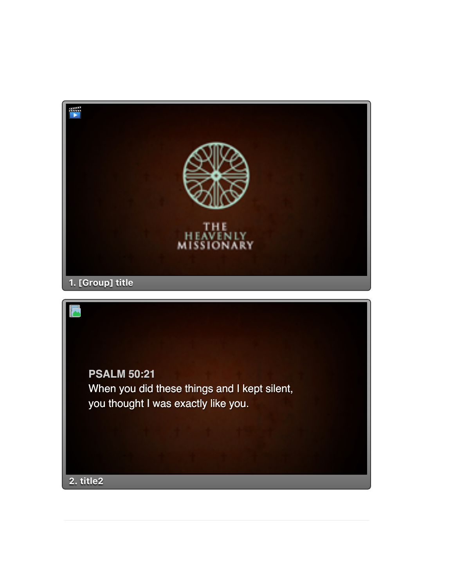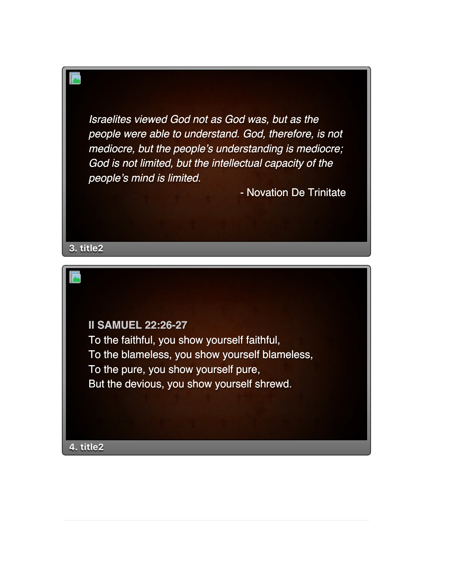*Israelites viewed God not as God was, but as the people were able to understand. God, therefore, is not mediocre, but the people's understanding is mediocre; God is not limited, but the intellectual capacity of the people's mind is limited.*

- Novation De Trinitate

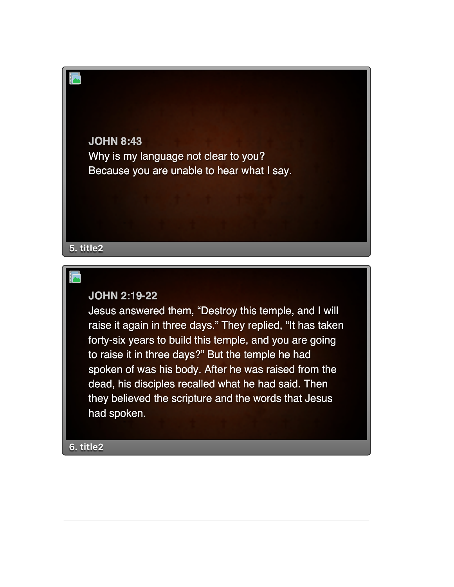**JOHN 8:43** Why is my language not clear to you? Because you are unable to hear what I say.

## **5. title2**

## **JOHN 2:19-22**

Jesus answered them, "Destroy this temple, and I will raise it again in three days." They replied, "It has taken forty-six years to build this temple, and you are going to raise it in three days?" But the temple he had spoken of was his body. After he was raised from the dead, his disciples recalled what he had said. Then they believed the scripture and the words that Jesus had spoken.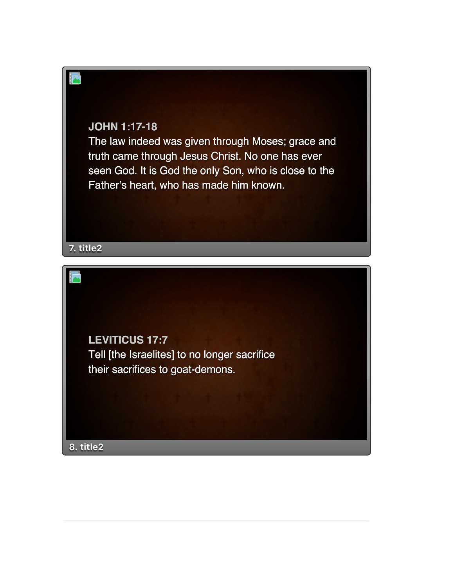

The law indeed was given through Moses; grace and truth came through Jesus Christ. No one has ever seen God. It is God the only Son, who is close to the Father's heart, who has made him known.



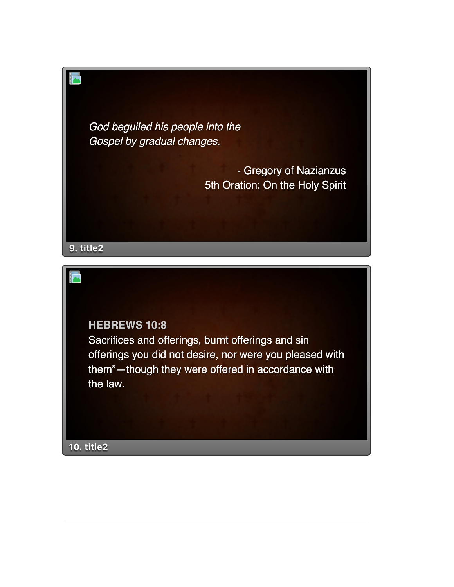*God beguiled his people into the Gospel by gradual changes.*

> - Gregory of Nazianzus 5th Oration: On the Holy Spirit